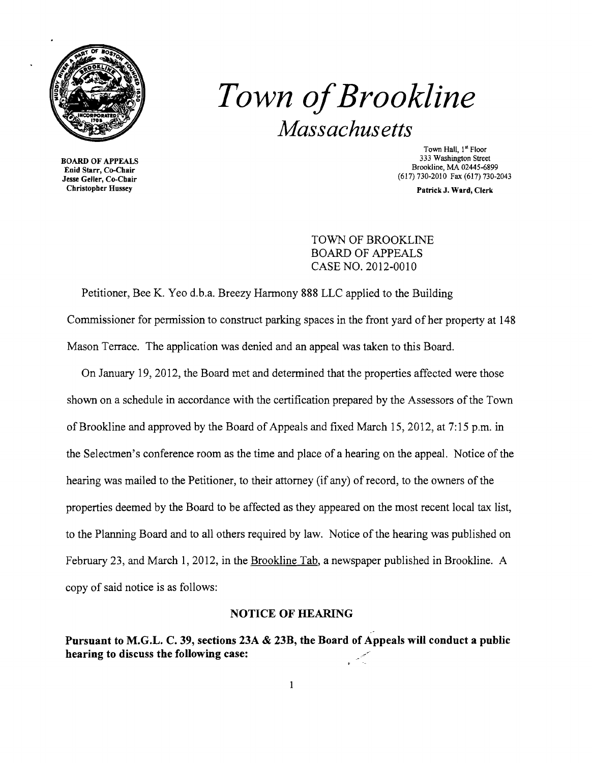

## *Town ofBrookline Massachusetts*

**BOARD OF APPEALS** Jesse Geller, Co-Chair (617) 730-2010 Fax (617) 730-2010 Fax (617) 730-2010 Fax (617) 730-20143<br>Christopher Hussey Patrick J. Ward, Clerk

Town Hall, 1<sup>st</sup> Floor<br>333 Washington Street Brookline, MA 02445-6899 Enid Starr, Co-Chair

Patrick J. Ward, Clerk

TOWN OF BROOKLINE BOARD OF APPEALS CASE NO. 2012-0010

Petitioner, Bee K. Yeo d.b.a. Breezy Harmony 888 LLC applied to the Building Commissioner for permission to construct parking spaces in the front yard of her property at 148 Mason Terrace. The application was denied and an appeal was taken to this Board.

On January 19,2012, the Board met and determined that the properties affected were those shown on a schedule in accordance with the certification prepared by the Assessors of the Town of Brookline and approved by the Board of Appeals and fixed March 15,2012, at 7:15 p.m. in the Selectmen's conference room as the time and place of a hearing on the appeal. Notice of the hearing was mailed to the Petitioner, to their attorney (if any) of record, to the owners of the properties deemed by the Board to be affected as they appeared on the most recent local tax list, to the Planning Board and to all others required by law. Notice of the hearing was published on February 23, and March 1, 2012, in the Brookline Tab, a newspaper published in Brookline. A copy of said notice is as follows:

## NOTICE OF HEARING

Pursuant to M.G.L. C. 39, sections 23A & 23B, the Board of Appeals will conduct a public hearing to discuss the following case:

 $\mathbf{1}$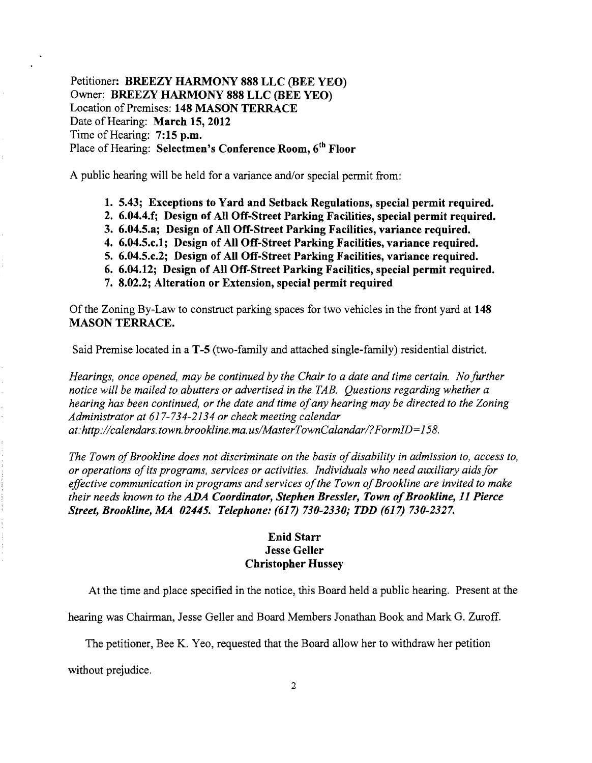Petitioner: BREEZY HARMONY 888 LLC (BEE YEO) Owner: BREEZY HARMONY 888 LLC (BEE YEO) Location of Premises: 148 MASON TERRACE Date of Hearing: March 15, 2012 Time of Hearing: 7:15 p.m. Place of Hearing: Selectmen's Conference Room, 6<sup>th</sup> Floor

A public hearing will be held for a variance and/or special permit from:

- 1. 5.43; Exceptions to Yard and Setback Regulations, special permit required.
- 2. 6.04.4.f; Design of All Off-Street Parking Facilities, special permit required.
- 3. 6.04.5.a; Design of All Off-Street Parking Facilities, variance required.
- 4. 6.04.5.c.l; Design of All Off-Street Parking Facilities, variance required.
- 5. 6.04.5.c.2; Design of All Off-Street Parking Facilities, variance required.
- 6. 6.04.12; Design of All Off-Street Parking Facilities, special permit required.
- 7. 8.02.2; Alteration or Extension, special permit required

Ofthe Zoning By-Law to construct parking spaces for two vehicles in the front yard at 148 MASON TERRACE.

Said Premise located in a T-5 (two-family and attached single-family) residential district.

*Hearings, once opened, may be continued by the Chair to a date and time certain. No further notice will be mailed to abutters or advertised in the TAB. Questions regarding whether a hearing has been continued, or the date and time ofany hearing may be directed to the Zoning Administrator at* 617-734-2134 *or check meeting calendar at:http://calendars.town.brookline.ma.usIMasterTownCalandarl?FormID=158.* 

The Town of Brookline does not discriminate on the basis of disability in admission to, access to, *or operations ofits programs, services or activities. Individuals who need auxiliary aidsfor*  effective communication in programs and services of the Town of Brookline are invited to make *their needs known to the ADA Coordinator, Stephen Bressler, Town of Brookline, 11 Pierce Street, Brookline, MA 02445. Telephone:* (617) *730-2330; TDD* (617) *730-2327.* 

## Enid Starr **Jesse Geller** Christopher Hussey

At the time and place specified in the notice, this Board held a public hearing. Present at the

hearing was Chairman, Jesse Geller and Board Members Jonathan Book and Mark G. Zuroff.

The petitioner, Bee K. Yeo, requested that the Board allow her to withdraw her petition

without prejudice.